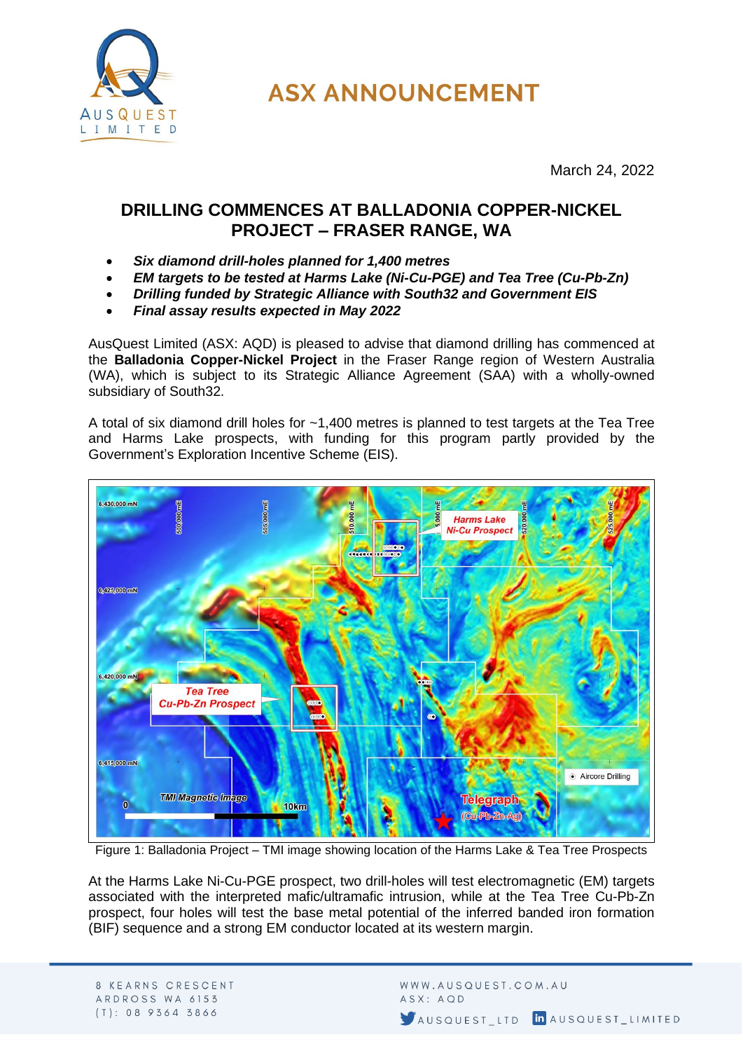

**ASX ANNOUNCEMENT** 

March 24, 2022

## **DRILLING COMMENCES AT BALLADONIA COPPER-NICKEL PROJECT – FRASER RANGE, WA**

- *Six diamond drill-holes planned for 1,400 metres*
- *EM targets to be tested at Harms Lake (Ni-Cu-PGE) and Tea Tree (Cu-Pb-Zn)*
- *Drilling funded by Strategic Alliance with South32 and Government EIS*
- *Final assay results expected in May 2022*

AusQuest Limited (ASX: AQD) is pleased to advise that diamond drilling has commenced at the **Balladonia Copper-Nickel Project** in the Fraser Range region of Western Australia (WA), which is subject to its Strategic Alliance Agreement (SAA) with a wholly-owned subsidiary of South32.

A total of six diamond drill holes for ~1,400 metres is planned to test targets at the Tea Tree and Harms Lake prospects, with funding for this program partly provided by the Government's Exploration Incentive Scheme (EIS).



Figure 1: Balladonia Project – TMI image showing location of the Harms Lake & Tea Tree Prospects

At the Harms Lake Ni-Cu-PGE prospect, two drill-holes will test electromagnetic (EM) targets associated with the interpreted mafic/ultramafic intrusion, while at the Tea Tree Cu-Pb-Zn prospect, four holes will test the base metal potential of the inferred banded iron formation (BIF) sequence and a strong EM conductor located at its western margin.

8 KEARNS CRESCENT ARDROSS WA 6153  $(T): 0895645866$ 

WWW.AUSQUEST.COM.AU ASX: AQD AUSQUEST LTD In AUSQUEST LIMITED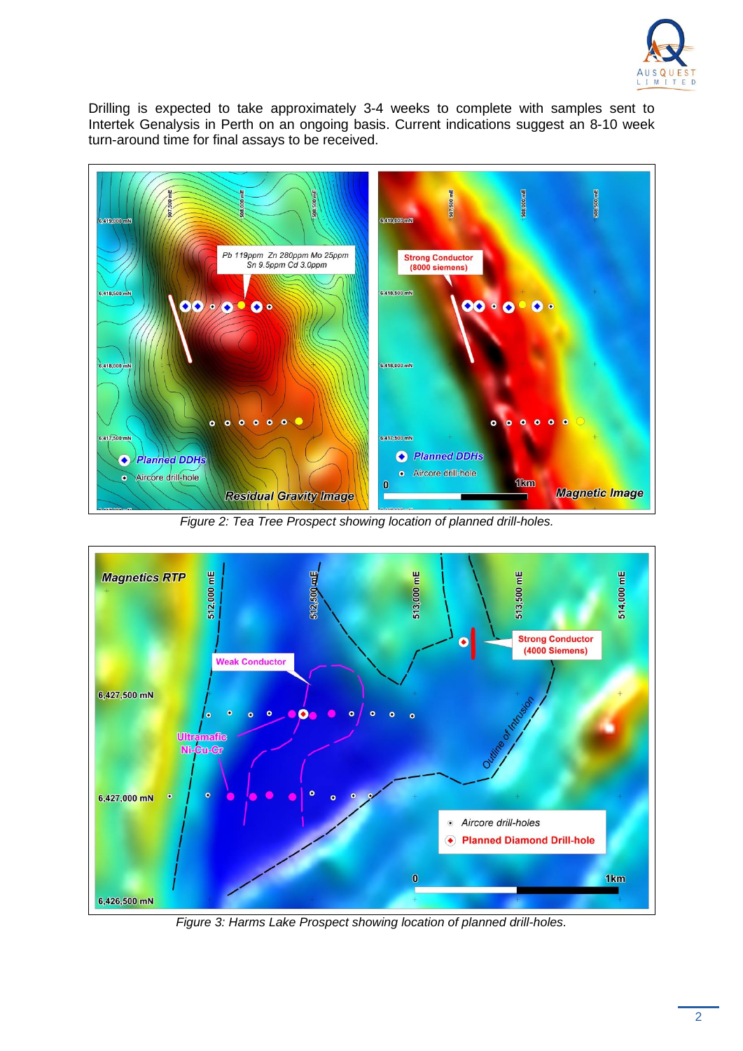

Drilling is expected to take approximately 3-4 weeks to complete with samples sent to Intertek Genalysis in Perth on an ongoing basis. Current indications suggest an 8-10 week turn-around time for final assays to be received.



*Figure 2: Tea Tree Prospect showing location of planned drill-holes.*



*Figure 3: Harms Lake Prospect showing location of planned drill-holes.*